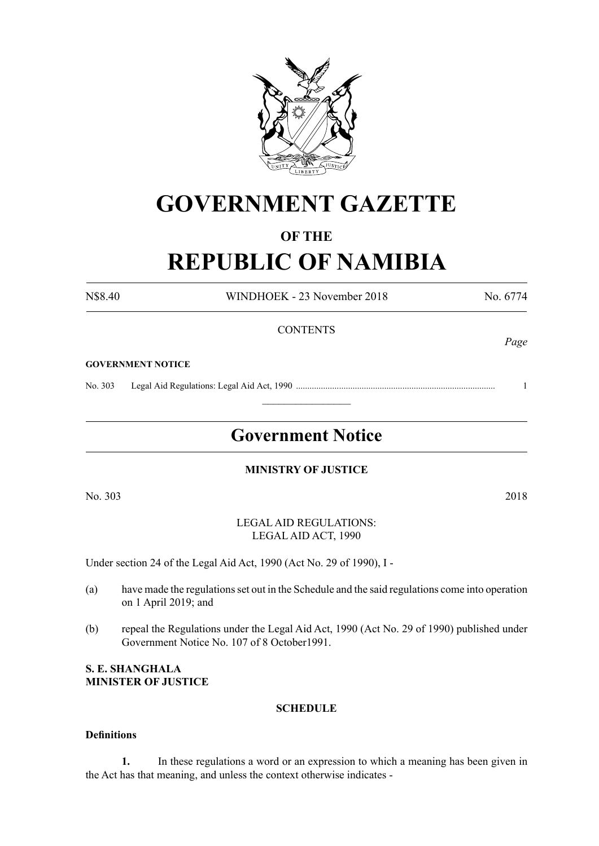

# **GOVERNMENT GAZETTE**

# **OF THE**

# **REPUBLIC OF NAMIBIA**

N\$8.40 WINDHOEK - 23 November 2018 No. 6774

**CONTENTS GOVERNMENT NOTICE** No. 303 Legal Aid Regulations: Legal Aid Act, 1990 ........................................................................................ 1  $\frac{1}{2}$ **Government Notice**

**MINISTRY OF JUSTICE**

No. 303 2018

LEGAL AID REGULATIONS: LEGAL AID ACT, 1990

Under section 24 of the Legal Aid Act, 1990 (Act No. 29 of 1990), I -

- (a) have made the regulations set out in the Schedule and the said regulations come into operation on 1 April 2019; and
- (b) repeal the Regulations under the Legal Aid Act, 1990 (Act No. 29 of 1990) published under Government Notice No. 107 of 8 October1991.

**S. E. Shanghala Minister of Justice**

#### **SCHEDULE**

#### **Definitions**

**1.** In these regulations a word or an expression to which a meaning has been given in the Act has that meaning, and unless the context otherwise indicates -

*Page*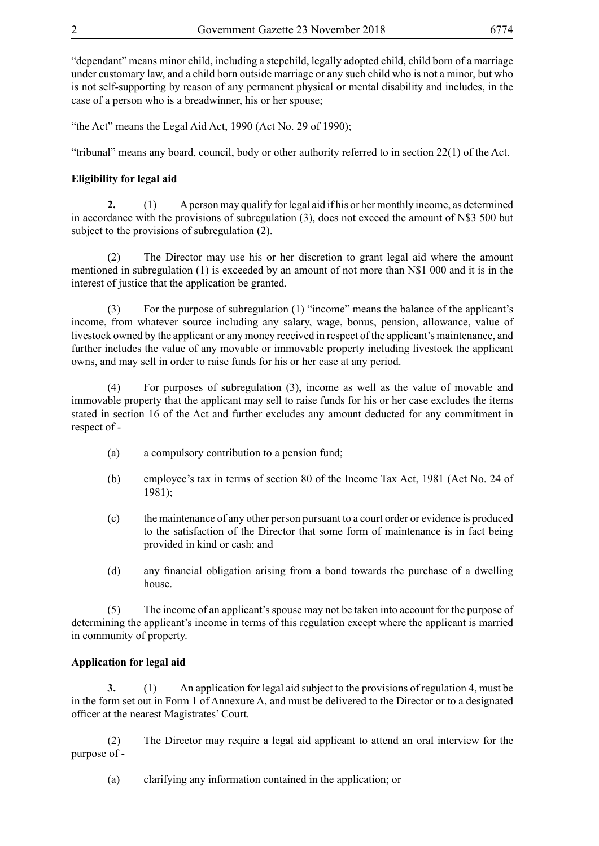"dependant" means minor child, including a stepchild, legally adopted child, child born of a marriage under customary law, and a child born outside marriage or any such child who is not a minor, but who is not self-supporting by reason of any permanent physical or mental disability and includes, in the case of a person who is a breadwinner, his or her spouse;

"the Act" means the Legal Aid Act, 1990 (Act No. 29 of 1990);

"tribunal" means any board, council, body or other authority referred to in section 22(1) of the Act.

#### **Eligibility for legal aid**

**2.** (1) A person may qualify for legal aid if his or her monthly income, as determined in accordance with the provisions of subregulation  $(3)$ , does not exceed the amount of N\$3 500 but subject to the provisions of subregulation (2).

(2) The Director may use his or her discretion to grant legal aid where the amount mentioned in subregulation (1) is exceeded by an amount of not more than N\$1 000 and it is in the interest of justice that the application be granted.

(3) For the purpose of subregulation (1) "income" means the balance of the applicant's income, from whatever source including any salary, wage, bonus, pension, allowance, value of livestock owned by the applicant or any money received in respect of the applicant's maintenance, and further includes the value of any movable or immovable property including livestock the applicant owns, and may sell in order to raise funds for his or her case at any period.

(4) For purposes of subregulation (3), income as well as the value of movable and immovable property that the applicant may sell to raise funds for his or her case excludes the items stated in section 16 of the Act and further excludes any amount deducted for any commitment in respect of -

- (a) a compulsory contribution to a pension fund;
- (b) employee's tax in terms of section 80 of the Income Tax Act, 1981 (Act No. 24 of 1981);
- (c) the maintenance of any other person pursuant to a court order or evidence is produced to the satisfaction of the Director that some form of maintenance is in fact being provided in kind or cash; and
- (d) any financial obligation arising from a bond towards the purchase of a dwelling house.

(5) The income of an applicant's spouse may not be taken into account for the purpose of determining the applicant's income in terms of this regulation except where the applicant is married in community of property.

#### **Application for legal aid**

**3.** (1) An application for legal aid subject to the provisions of regulation 4, must be in the form set out in Form 1 of Annexure A, and must be delivered to the Director or to a designated officer at the nearest Magistrates' Court.

(2) The Director may require a legal aid applicant to attend an oral interview for the purpose of -

(a) clarifying any information contained in the application; or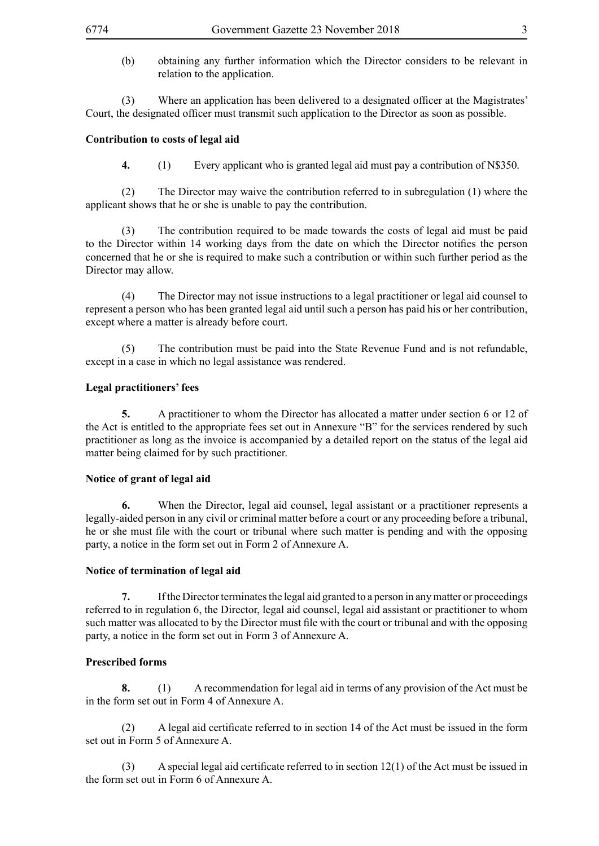(b) obtaining any further information which the Director considers to be relevant in relation to the application.

(3) Where an application has been delivered to a designated officer at the Magistrates' Court, the designated officer must transmit such application to the Director as soon as possible.

#### **Contribution to costs of legal aid**

**4.** (1) Every applicant who is granted legal aid must pay a contribution of N\$350.

(2) The Director may waive the contribution referred to in subregulation (1) where the applicant shows that he or she is unable to pay the contribution.

(3) The contribution required to be made towards the costs of legal aid must be paid to the Director within 14 working days from the date on which the Director notifies the person concerned that he or she is required to make such a contribution or within such further period as the Director may allow.

(4) The Director may not issue instructions to a legal practitioner or legal aid counsel to represent a person who has been granted legal aid until such a person has paid his or her contribution, except where a matter is already before court.

(5) The contribution must be paid into the State Revenue Fund and is not refundable, except in a case in which no legal assistance was rendered.

#### **Legal practitioners' fees**

**5.** A practitioner to whom the Director has allocated a matter under section 6 or 12 of the Act is entitled to the appropriate fees set out in Annexure "B" for the services rendered by such practitioner as long as the invoice is accompanied by a detailed report on the status of the legal aid matter being claimed for by such practitioner.

#### **Notice of grant of legal aid**

**6.** When the Director, legal aid counsel, legal assistant or a practitioner represents a legally-aided person in any civil or criminal matter before a court or any proceeding before a tribunal, he or she must file with the court or tribunal where such matter is pending and with the opposing party, a notice in the form set out in Form 2 of Annexure A.

#### **Notice of termination of legal aid**

**7.** If the Director terminates the legal aid granted to a person in any matter or proceedings referred to in regulation 6, the Director, legal aid counsel, legal aid assistant or practitioner to whom such matter was allocated to by the Director must file with the court or tribunal and with the opposing party, a notice in the form set out in Form 3 of Annexure A.

#### **Prescribed forms**

**8.** (1) A recommendation for legal aid in terms of any provision of the Act must be in the form set out in Form 4 of Annexure A.

 (2) A legal aid certificate referred to in section 14 of the Act must be issued in the form set out in Form 5 of Annexure A.

 $(3)$  A special legal aid certificate referred to in section 12(1) of the Act must be issued in the form set out in Form 6 of Annexure A.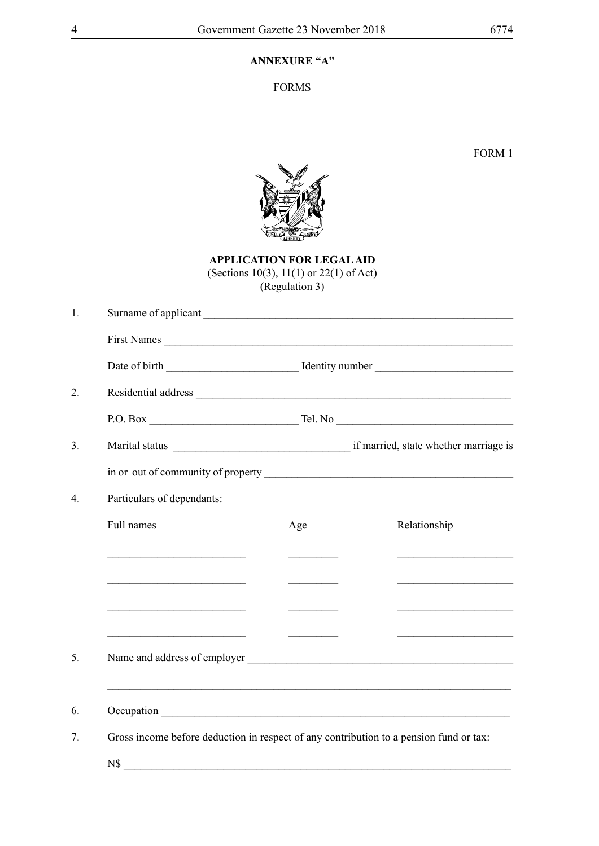# **ANNEXURE "A"**

FORMS

FORM 1



**APPLICATION FOR LEGAL AID** (Sections 10(3), 11(1) or 22(1) of Act) (Regulation 3)

| Surname of applicant                                                                   |                            |     |                      |  |  |
|----------------------------------------------------------------------------------------|----------------------------|-----|----------------------|--|--|
|                                                                                        |                            |     | First Names          |  |  |
|                                                                                        |                            |     |                      |  |  |
|                                                                                        |                            |     |                      |  |  |
|                                                                                        |                            |     | $P.O. Box$ $Tel. No$ |  |  |
|                                                                                        |                            |     |                      |  |  |
|                                                                                        |                            |     |                      |  |  |
|                                                                                        | Particulars of dependants: |     |                      |  |  |
| Full names                                                                             |                            | Age | Relationship         |  |  |
|                                                                                        |                            |     |                      |  |  |
|                                                                                        |                            |     |                      |  |  |
| <u> 1980 - Jan Stein Bernstein, marking fan de Amerikaanske komme</u>                  |                            |     |                      |  |  |
| <u> 1990 - Johann Barbara, martin amerikan personal (</u>                              |                            |     |                      |  |  |
|                                                                                        |                            |     |                      |  |  |
|                                                                                        |                            |     |                      |  |  |
|                                                                                        |                            |     |                      |  |  |
| Gross income before deduction in respect of any contribution to a pension fund or tax: |                            |     |                      |  |  |
| N\$                                                                                    |                            |     |                      |  |  |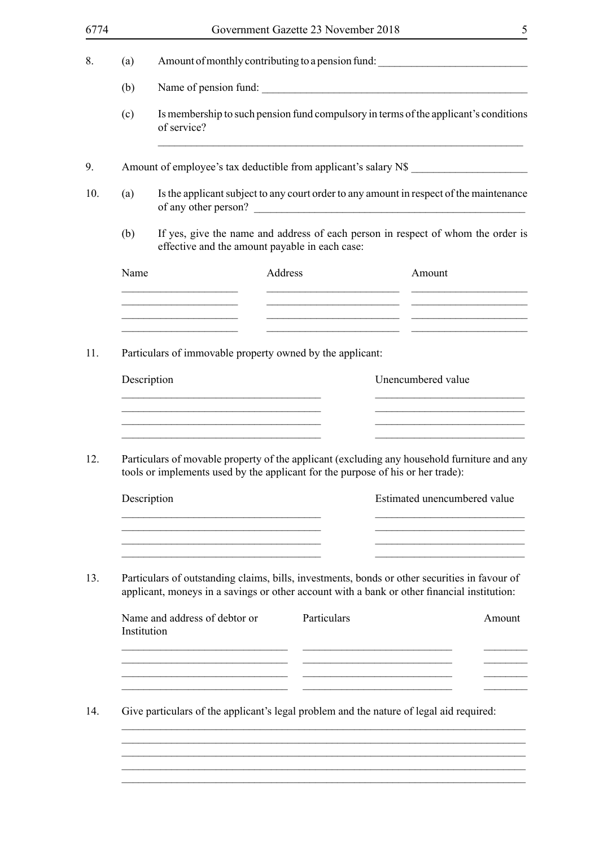|                                                                                                                                                                                              |                                                                                                                                    |                                                                                                                                                                     |                                                                                                                                                       | 5                                                                                                                                                                                                                                                                                                                                                                                                                                                                                                                                                                                              |  |
|----------------------------------------------------------------------------------------------------------------------------------------------------------------------------------------------|------------------------------------------------------------------------------------------------------------------------------------|---------------------------------------------------------------------------------------------------------------------------------------------------------------------|-------------------------------------------------------------------------------------------------------------------------------------------------------|------------------------------------------------------------------------------------------------------------------------------------------------------------------------------------------------------------------------------------------------------------------------------------------------------------------------------------------------------------------------------------------------------------------------------------------------------------------------------------------------------------------------------------------------------------------------------------------------|--|
|                                                                                                                                                                                              |                                                                                                                                    |                                                                                                                                                                     |                                                                                                                                                       |                                                                                                                                                                                                                                                                                                                                                                                                                                                                                                                                                                                                |  |
|                                                                                                                                                                                              |                                                                                                                                    |                                                                                                                                                                     |                                                                                                                                                       |                                                                                                                                                                                                                                                                                                                                                                                                                                                                                                                                                                                                |  |
|                                                                                                                                                                                              | of service?                                                                                                                        |                                                                                                                                                                     |                                                                                                                                                       |                                                                                                                                                                                                                                                                                                                                                                                                                                                                                                                                                                                                |  |
|                                                                                                                                                                                              |                                                                                                                                    |                                                                                                                                                                     |                                                                                                                                                       |                                                                                                                                                                                                                                                                                                                                                                                                                                                                                                                                                                                                |  |
|                                                                                                                                                                                              |                                                                                                                                    |                                                                                                                                                                     |                                                                                                                                                       |                                                                                                                                                                                                                                                                                                                                                                                                                                                                                                                                                                                                |  |
|                                                                                                                                                                                              | If yes, give the name and address of each person in respect of whom the order is<br>effective and the amount payable in each case: |                                                                                                                                                                     |                                                                                                                                                       |                                                                                                                                                                                                                                                                                                                                                                                                                                                                                                                                                                                                |  |
|                                                                                                                                                                                              |                                                                                                                                    | Address                                                                                                                                                             | Amount                                                                                                                                                |                                                                                                                                                                                                                                                                                                                                                                                                                                                                                                                                                                                                |  |
|                                                                                                                                                                                              |                                                                                                                                    |                                                                                                                                                                     |                                                                                                                                                       |                                                                                                                                                                                                                                                                                                                                                                                                                                                                                                                                                                                                |  |
|                                                                                                                                                                                              |                                                                                                                                    |                                                                                                                                                                     |                                                                                                                                                       |                                                                                                                                                                                                                                                                                                                                                                                                                                                                                                                                                                                                |  |
|                                                                                                                                                                                              |                                                                                                                                    |                                                                                                                                                                     | Unencumbered value                                                                                                                                    |                                                                                                                                                                                                                                                                                                                                                                                                                                                                                                                                                                                                |  |
|                                                                                                                                                                                              |                                                                                                                                    |                                                                                                                                                                     |                                                                                                                                                       |                                                                                                                                                                                                                                                                                                                                                                                                                                                                                                                                                                                                |  |
| Particulars of movable property of the applicant (excluding any household furniture and any<br>tools or implements used by the applicant for the purpose of his or her trade):               |                                                                                                                                    |                                                                                                                                                                     |                                                                                                                                                       |                                                                                                                                                                                                                                                                                                                                                                                                                                                                                                                                                                                                |  |
|                                                                                                                                                                                              |                                                                                                                                    |                                                                                                                                                                     |                                                                                                                                                       |                                                                                                                                                                                                                                                                                                                                                                                                                                                                                                                                                                                                |  |
|                                                                                                                                                                                              |                                                                                                                                    |                                                                                                                                                                     |                                                                                                                                                       |                                                                                                                                                                                                                                                                                                                                                                                                                                                                                                                                                                                                |  |
| Particulars of outstanding claims, bills, investments, bonds or other securities in favour of<br>applicant, moneys in a savings or other account with a bank or other financial institution: |                                                                                                                                    |                                                                                                                                                                     |                                                                                                                                                       |                                                                                                                                                                                                                                                                                                                                                                                                                                                                                                                                                                                                |  |
|                                                                                                                                                                                              |                                                                                                                                    |                                                                                                                                                                     |                                                                                                                                                       | Amount                                                                                                                                                                                                                                                                                                                                                                                                                                                                                                                                                                                         |  |
|                                                                                                                                                                                              |                                                                                                                                    |                                                                                                                                                                     |                                                                                                                                                       |                                                                                                                                                                                                                                                                                                                                                                                                                                                                                                                                                                                                |  |
| Give particulars of the applicant's legal problem and the nature of legal aid required:                                                                                                      |                                                                                                                                    |                                                                                                                                                                     |                                                                                                                                                       |                                                                                                                                                                                                                                                                                                                                                                                                                                                                                                                                                                                                |  |
|                                                                                                                                                                                              |                                                                                                                                    |                                                                                                                                                                     |                                                                                                                                                       |                                                                                                                                                                                                                                                                                                                                                                                                                                                                                                                                                                                                |  |
|                                                                                                                                                                                              | (a)<br>(b)<br>(c)<br>(a)<br>(b)<br>Name                                                                                            | <u> 1980 - Johann Barbara, martxa amerikan ba</u><br><u> 1989 - Johann John Stone, mars eta biztanleria (h. 1989).</u><br>Description<br>Description<br>Institution | <u> 1989 - Johann Stein, marwolaethau a bhann an t-Amhain an t-Amhain an t-Amhain an t-Amhain an t-Amhain an t-A</u><br>Name and address of debtor or | Government Gazette 23 November 2018<br>Amount of monthly contributing to a pension fund:<br>Name of pension fund:<br>Is membership to such pension fund compulsory in terms of the applicant's conditions<br>Amount of employee's tax deductible from applicant's salary N\$<br>Is the applicant subject to any court order to any amount in respect of the maintenance<br>of any other person?<br>the contract of the contract of the contract of the contract of the contract of<br>Particulars of immovable property owned by the applicant:<br>Estimated unencumbered value<br>Particulars |  |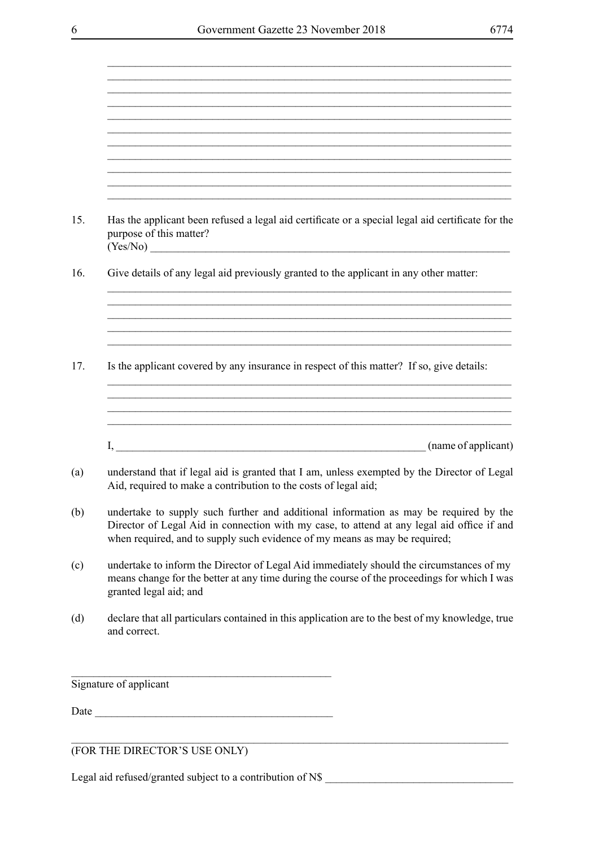\_\_\_\_\_\_\_\_\_\_\_\_\_\_\_\_\_\_\_\_\_\_\_\_\_\_\_\_\_\_\_\_\_\_\_\_\_\_\_\_\_\_\_\_\_\_\_\_\_\_\_\_\_\_\_\_\_\_\_\_\_\_\_\_\_\_\_\_\_\_\_\_\_

|      | Has the applicant been refused a legal aid certificate or a special legal aid certificate for the<br>purpose of this matter?<br>(Yes/No)                                                                                                                          |
|------|-------------------------------------------------------------------------------------------------------------------------------------------------------------------------------------------------------------------------------------------------------------------|
|      | Give details of any legal aid previously granted to the applicant in any other matter:                                                                                                                                                                            |
|      |                                                                                                                                                                                                                                                                   |
|      | Is the applicant covered by any insurance in respect of this matter? If so, give details:                                                                                                                                                                         |
|      |                                                                                                                                                                                                                                                                   |
|      | (name of applicant)                                                                                                                                                                                                                                               |
|      | understand that if legal aid is granted that I am, unless exempted by the Director of Legal<br>Aid, required to make a contribution to the costs of legal aid;                                                                                                    |
|      | undertake to supply such further and additional information as may be required by the<br>Director of Legal Aid in connection with my case, to attend at any legal aid office if and<br>when required, and to supply such evidence of my means as may be required; |
|      | undertake to inform the Director of Legal Aid immediately should the circumstances of my<br>means change for the better at any time during the course of the proceedings for which I was<br>granted legal aid; and                                                |
|      | declare that all particulars contained in this application are to the best of my knowledge, true<br>and correct.                                                                                                                                                  |
|      | Signature of applicant                                                                                                                                                                                                                                            |
| Date | <u> 1980 - Johann Barn, mars ar breithinn ar chwaraeth a bhaile ann an t-</u>                                                                                                                                                                                     |
|      |                                                                                                                                                                                                                                                                   |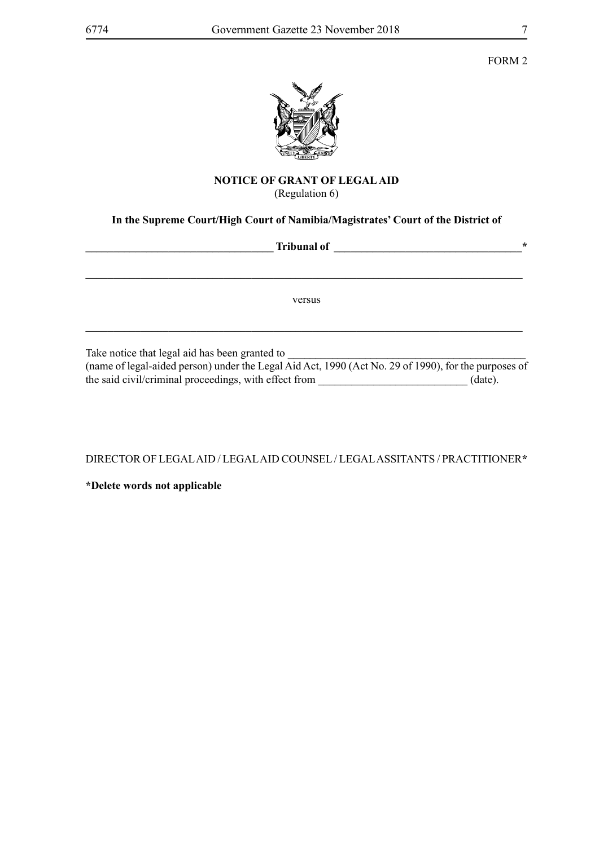

#### **NOTICE OF GRANT OF LEGAL AID** (Regulation 6)

# **In the Supreme Court/High Court of Namibia/Magistrates' Court of the District of**

| <b>Tribunal of</b>                             | $\ast$ |
|------------------------------------------------|--------|
|                                                |        |
| versus                                         |        |
|                                                |        |
| Take notice that legal aid has been granted to |        |

(name of legal-aided person) under the Legal Aid Act, 1990 (Act No. 29 of 1990), for the purposes of the said civil/criminal proceedings, with effect from \_\_\_\_\_\_\_\_\_\_\_\_\_\_\_\_\_\_\_\_\_\_\_\_\_\_\_ (date).

DIRECTOR OF LEGAL AID / LEGAL AID COUNSEL / LEGAL ASSITANTS / PRACTITIONER**\***

**\*Delete words not applicable**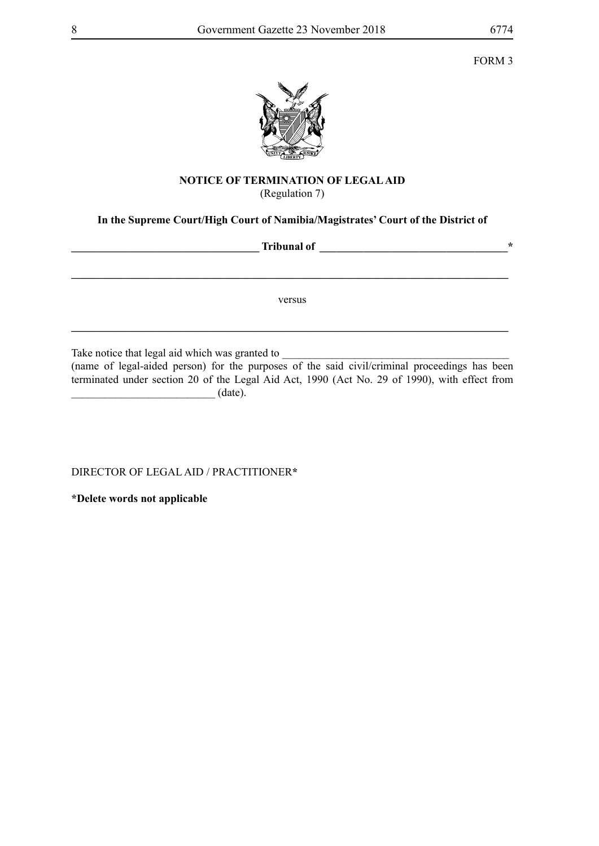

# **NOTICE OF TERMINATION OF LEGAL AID**

(Regulation 7)

# **In the Supreme Court/High Court of Namibia/Magistrates' Court of the District of**

**Tribunal of** <br> **Tribunal of \_\_\_\_\_\_\_\_\_\_\_\_\_\_\_\_\_\_\_\_\_\_\_\_\_\_\_\_\_\_\_\_\_\_\_\_\_\_\_\_\_\_\_\_\_\_\_\_\_\_\_\_\_\_\_\_\_\_\_\_\_\_\_\_\_\_\_\_\_\_\_\_\_\_\_\_\_\_\_** versus **\_\_\_\_\_\_\_\_\_\_\_\_\_\_\_\_\_\_\_\_\_\_\_\_\_\_\_\_\_\_\_\_\_\_\_\_\_\_\_\_\_\_\_\_\_\_\_\_\_\_\_\_\_\_\_\_\_\_\_\_\_\_\_\_\_\_\_\_\_\_\_\_\_\_\_\_\_\_\_**

Take notice that legal aid which was granted to \_\_\_\_\_\_\_\_\_\_\_\_\_\_\_\_\_\_\_\_\_\_\_\_\_\_\_\_\_\_\_\_\_\_\_\_\_\_\_\_\_

(name of legal-aided person) for the purposes of the said civil/criminal proceedings has been terminated under section 20 of the Legal Aid Act, 1990 (Act No. 29 of 1990), with effect from  $(\text{date}).$ 

DIRECTOR OF LEGAL AID / PRACTITIONER**\***

**\*Delete words not applicable**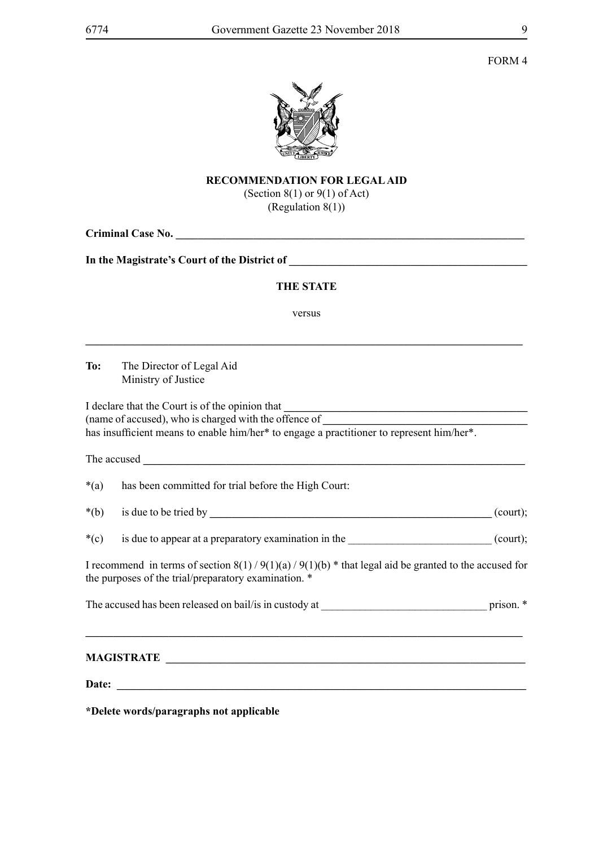FORM 4



# **RECOMMENDATION FOR LEGAL AID**

(Section 8(1) or 9(1) of Act) (Regulation  $8(1)$ )

|        | <b>THE STATE</b>                                                                                                                                                                                      |  |  |
|--------|-------------------------------------------------------------------------------------------------------------------------------------------------------------------------------------------------------|--|--|
|        |                                                                                                                                                                                                       |  |  |
|        | versus                                                                                                                                                                                                |  |  |
|        | To: The Director of Legal Aid<br>Ministry of Justice                                                                                                                                                  |  |  |
|        | I declare that the Court is of the opinion that<br>(name of accused), who is charged with the offence of<br>has insufficient means to enable him/her* to engage a practitioner to represent him/her*. |  |  |
|        |                                                                                                                                                                                                       |  |  |
| $*(a)$ | has been committed for trial before the High Court:                                                                                                                                                   |  |  |
| $*(b)$ |                                                                                                                                                                                                       |  |  |
| $*(c)$ | is due to appear at a preparatory examination in the (court);                                                                                                                                         |  |  |
|        | I recommend in terms of section $8(1)/9(1)(a)/9(1)(b)$ * that legal aid be granted to the accused for<br>the purposes of the trial/preparatory examination. *                                         |  |  |
|        |                                                                                                                                                                                                       |  |  |
|        |                                                                                                                                                                                                       |  |  |
|        |                                                                                                                                                                                                       |  |  |
|        |                                                                                                                                                                                                       |  |  |

**\*Delete words/paragraphs not applicable**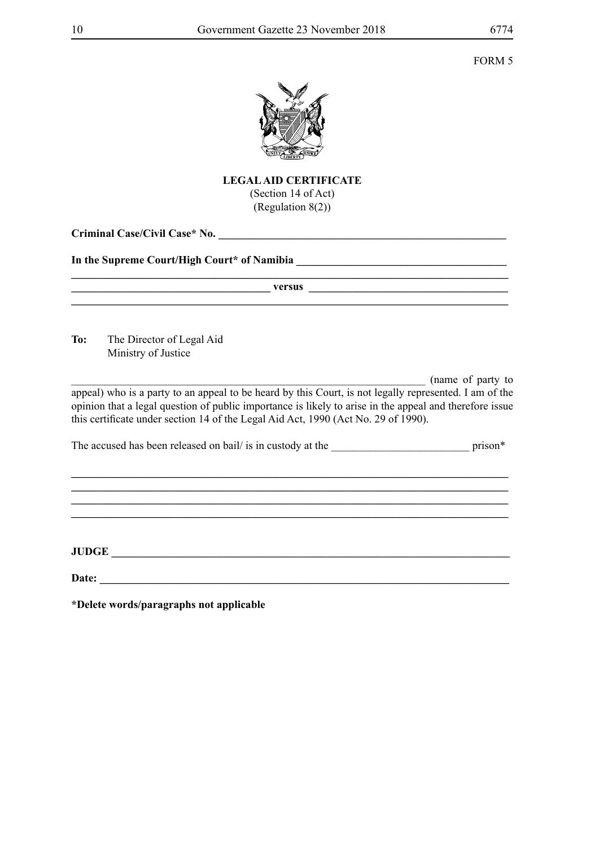

## **LEGAL AID CERTIFICATE** (Section 14 of Act) (Regulation 8(2))

**Criminal Case/Civil Case\* No. \_\_\_\_\_\_\_\_\_\_\_\_\_\_\_\_\_\_\_\_\_\_\_\_\_\_\_\_\_\_\_\_\_\_\_\_\_\_\_\_\_\_\_\_\_\_\_\_\_\_\_\_**

### In the Supreme Court/High Court\* of Namibia **\_\_\_\_\_\_\_\_\_\_\_\_\_\_\_\_\_\_\_\_\_\_\_\_\_\_\_\_\_\_\_\_\_\_\_**

|     | versus                                                                                                                                                                                                                                                                                                  |                     |
|-----|---------------------------------------------------------------------------------------------------------------------------------------------------------------------------------------------------------------------------------------------------------------------------------------------------------|---------------------|
| To: | The Director of Legal Aid<br>Ministry of Justice                                                                                                                                                                                                                                                        |                     |
|     | appeal) who is a party to an appeal to be heard by this Court, is not legally represented. I am of the<br>opinion that a legal question of public importance is likely to arise in the appeal and therefore issue<br>this certificate under section 14 of the Legal Aid Act, 1990 (Act No. 29 of 1990). | (name of party to   |
|     | The accused has been released on bail/ is in custody at the                                                                                                                                                                                                                                             | prison <sup>*</sup> |
|     |                                                                                                                                                                                                                                                                                                         |                     |
|     |                                                                                                                                                                                                                                                                                                         |                     |

**JUDGE \_\_\_\_\_\_\_\_\_\_\_\_\_\_\_\_\_\_\_\_\_\_\_\_\_\_\_\_\_\_\_\_\_\_\_\_\_\_\_\_\_\_\_\_\_\_\_\_\_\_\_\_\_\_\_\_\_\_\_\_\_\_\_\_\_\_\_\_\_\_\_\_**

**Date: \_\_\_\_\_\_\_\_\_\_\_\_\_\_\_\_\_\_\_\_\_\_\_\_\_\_\_\_\_\_\_\_\_\_\_\_\_\_\_\_\_\_\_\_\_\_\_\_\_\_\_\_\_\_\_\_\_\_\_\_\_\_\_\_\_\_\_\_\_\_\_\_\_\_**

**\*Delete words/paragraphs not applicable**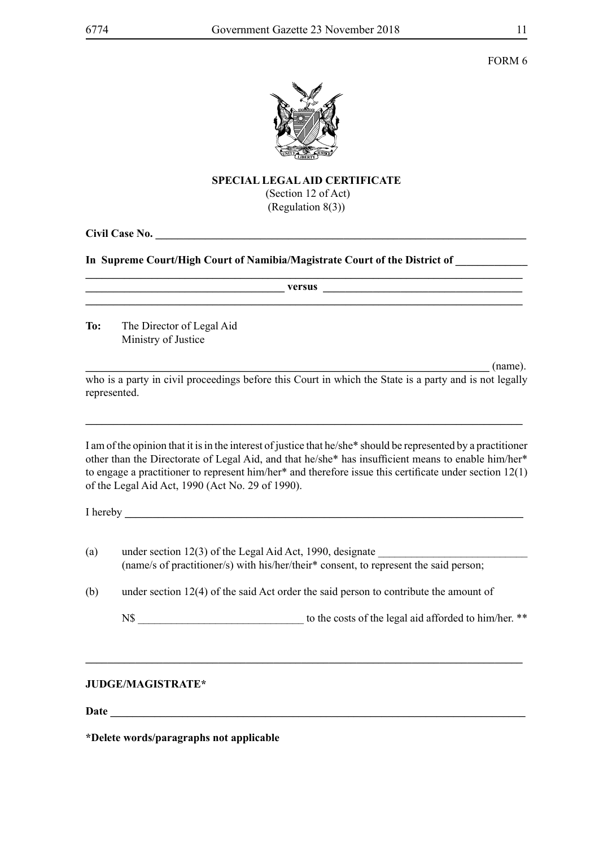FORM 6



### **SPECIAL LEGAL AID CERTIFICATE**

 (Section 12 of Act) (Regulation 8(3))

**Civil Case No. \_\_\_\_\_\_\_\_\_\_\_\_\_\_\_\_\_\_\_\_\_\_\_\_\_\_\_\_\_\_\_\_\_\_\_\_\_\_\_\_\_\_\_\_\_\_\_\_\_\_\_\_\_\_\_\_\_\_\_\_\_\_\_\_\_\_\_**

# **In Supreme Court/High Court of Namibia/Magistrate Court of the District of \_\_\_\_\_\_\_\_\_\_\_\_\_**

|     |                                                                                                                                                      | <u>versus et al. 2003 versus et al. 2003 versus et al. 2003 versus et al. 2003 versus et al. 2004 versus et al. 2004 versus et al. 2004 versus et al. 2004 versus et al. 2004 versus et al. 2004 versus et al. 2004 versus et al</u>                                                                                               |
|-----|------------------------------------------------------------------------------------------------------------------------------------------------------|------------------------------------------------------------------------------------------------------------------------------------------------------------------------------------------------------------------------------------------------------------------------------------------------------------------------------------|
| To: | The Director of Legal Aid<br>Ministry of Justice                                                                                                     |                                                                                                                                                                                                                                                                                                                                    |
|     |                                                                                                                                                      | (name).<br>who is a party in civil proceedings before this Court in which the State is a party and is not legally                                                                                                                                                                                                                  |
|     | represented.                                                                                                                                         |                                                                                                                                                                                                                                                                                                                                    |
|     | of the Legal Aid Act, 1990 (Act No. 29 of 1990).                                                                                                     | I am of the opinion that it is in the interest of justice that he/she* should be represented by a practitioner<br>other than the Directorate of Legal Aid, and that he/she* has insufficient means to enable him/her*<br>to engage a practitioner to represent him/her* and therefore issue this certificate under section $12(1)$ |
|     |                                                                                                                                                      |                                                                                                                                                                                                                                                                                                                                    |
| (a) | under section $12(3)$ of the Legal Aid Act, 1990, designate<br>(name/s of practitioner/s) with his/her/their* consent, to represent the said person; |                                                                                                                                                                                                                                                                                                                                    |
| (b) |                                                                                                                                                      | under section $12(4)$ of the said Act order the said person to contribute the amount of                                                                                                                                                                                                                                            |
|     |                                                                                                                                                      |                                                                                                                                                                                                                                                                                                                                    |
|     |                                                                                                                                                      |                                                                                                                                                                                                                                                                                                                                    |
|     |                                                                                                                                                      |                                                                                                                                                                                                                                                                                                                                    |

# **JUDGE/MAGISTRATE\***

**Date \_\_\_\_\_\_\_\_\_\_\_\_\_\_\_\_\_\_\_\_\_\_\_\_\_\_\_\_\_\_\_\_\_\_\_\_\_\_\_\_\_\_\_\_\_\_\_\_\_\_\_\_\_\_\_\_\_\_\_\_\_\_\_\_\_\_\_\_\_\_\_\_\_\_\_**

**\*Delete words/paragraphs not applicable**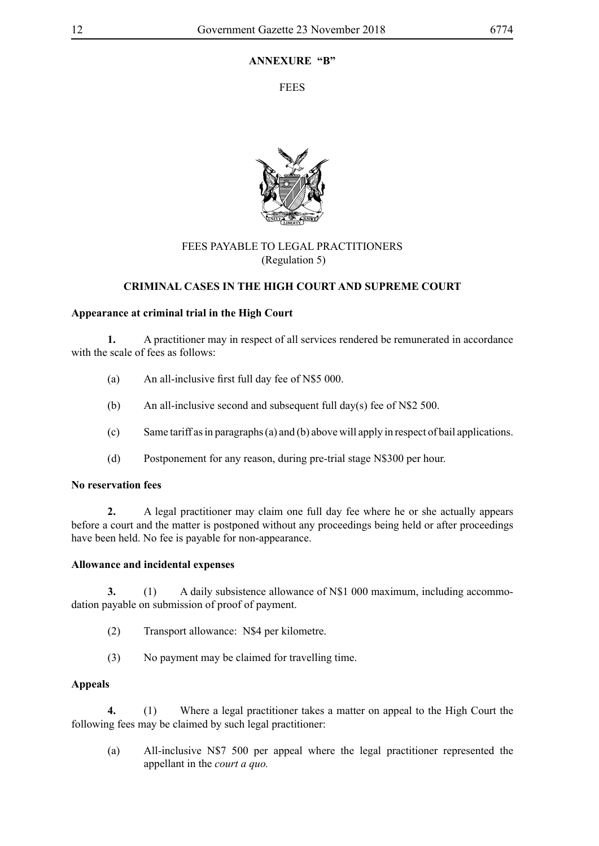# **ANNEXURE "B"**

**FEES** 



# FEES PAYABLE TO LEGAL PRACTITIONERS (Regulation 5)

# **CRIMINAL CASES IN THE HIGH COURT AND SUPREME COURT**

## **Appearance at criminal trial in the High Court**

**1.** A practitioner may in respect of all services rendered be remunerated in accordance with the scale of fees as follows:

- (a) An all-inclusive first full day fee of N\$5 000.
- (b) An all-inclusive second and subsequent full day(s) fee of N\$2 500.
- (c) Same tariff as in paragraphs (a) and (b) above will apply in respect of bail applications.
- (d) Postponement for any reason, during pre-trial stage N\$300 per hour.

## **No reservation fees**

**2.** A legal practitioner may claim one full day fee where he or she actually appears before a court and the matter is postponed without any proceedings being held or after proceedings have been held. No fee is payable for non-appearance.

## **Allowance and incidental expenses**

**3.** (1) A daily subsistence allowance of N\$1 000 maximum, including accommodation payable on submission of proof of payment.

- (2) Transport allowance: N\$4 per kilometre.
- (3) No payment may be claimed for travelling time.

## **Appeals**

**4.** (1) Where a legal practitioner takes a matter on appeal to the High Court the following fees may be claimed by such legal practitioner:

(a) All-inclusive N\$7 500 per appeal where the legal practitioner represented the appellant in the *court a quo.*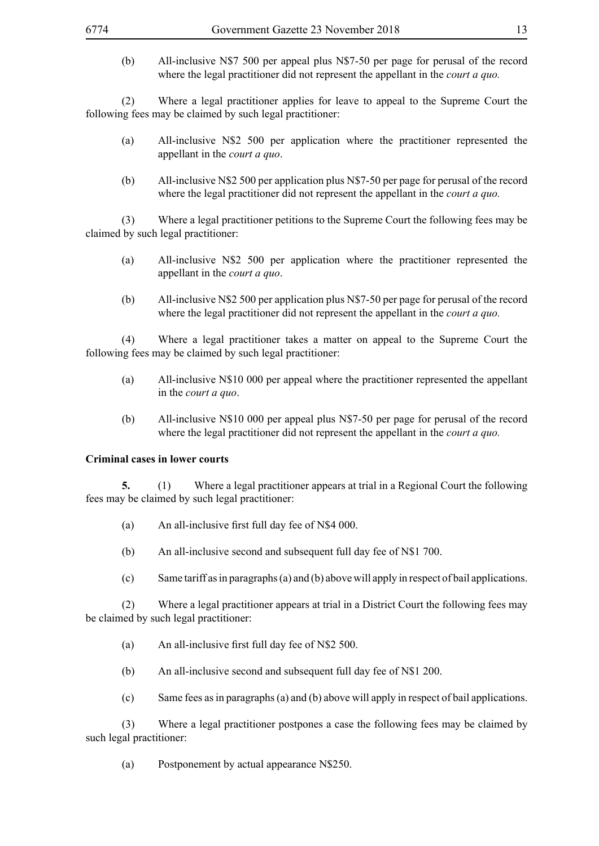(b) All-inclusive N\$7 500 per appeal plus N\$7-50 per page for perusal of the record where the legal practitioner did not represent the appellant in the *court a quo*.

(2) Where a legal practitioner applies for leave to appeal to the Supreme Court the following fees may be claimed by such legal practitioner:

- (a) All-inclusive N\$2 500 per application where the practitioner represented the appellant in the *court a quo*.
- (b) All-inclusive N\$2 500 per application plus N\$7-50 per page for perusal of the record where the legal practitioner did not represent the appellant in the *court a quo.*

(3) Where a legal practitioner petitions to the Supreme Court the following fees may be claimed by such legal practitioner:

- (a) All-inclusive N\$2 500 per application where the practitioner represented the appellant in the *court a quo*.
- (b) All-inclusive N\$2 500 per application plus N\$7-50 per page for perusal of the record where the legal practitioner did not represent the appellant in the *court a quo.*

(4) Where a legal practitioner takes a matter on appeal to the Supreme Court the following fees may be claimed by such legal practitioner:

- (a) All-inclusive N\$10 000 per appeal where the practitioner represented the appellant in the *court a quo*.
- (b) All-inclusive N\$10 000 per appeal plus N\$7-50 per page for perusal of the record where the legal practitioner did not represent the appellant in the *court a quo.*

### **Criminal cases in lower courts**

**5.** (1) Where a legal practitioner appears at trial in a Regional Court the following fees may be claimed by such legal practitioner:

- (a) An all-inclusive first full day fee of N\$4 000.
- (b) An all-inclusive second and subsequent full day fee of N\$1 700.
- (c) Same tariff as in paragraphs (a) and (b) above will apply in respect of bail applications.

(2) Where a legal practitioner appears at trial in a District Court the following fees may be claimed by such legal practitioner:

- (a) An all-inclusive first full day fee of N\$2 500.
- (b) An all-inclusive second and subsequent full day fee of N\$1 200.
- (c) Same fees as in paragraphs (a) and (b) above will apply in respect of bail applications.

(3) Where a legal practitioner postpones a case the following fees may be claimed by such legal practitioner:

(a) Postponement by actual appearance N\$250.